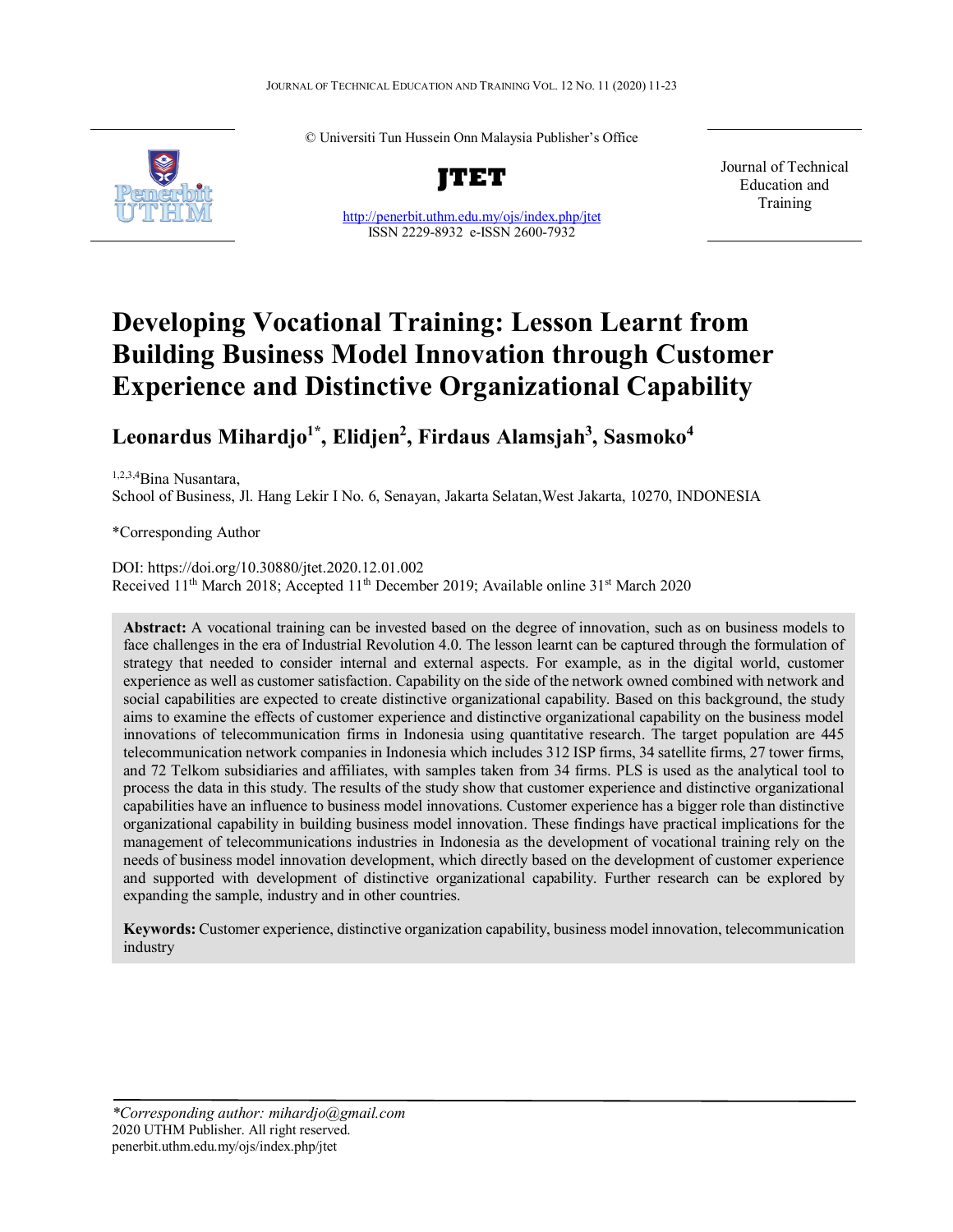

© Universiti Tun Hussein Onn Malaysia Publisher's Office



<http://penerbit.uthm.edu.my/ojs/index.php/jtet> ISSN 2229-8932 e-ISSN 2600-7932

Journal of Technical Education and Training

# **Developing Vocational Training: Lesson Learnt from Building Business Model Innovation through Customer Experience and Distinctive Organizational Capability**

# **Leonardus Mihardjo1\*, Elidjen2 , Firdaus Alamsjah3 , Sasmoko4**

1,2,3,4Bina Nusantara, School of Business, Jl. Hang Lekir I No. 6[, Senayan,](https://id.wikipedia.org/wiki/Senayan,_Kebayoran_Baru,_Jakarta_Selatan) [Jakarta Selatan,](https://id.wikipedia.org/wiki/Jakarta_Selatan)West Jakarta, 10270, INDONESIA

\*Corresponding Author

DOI: https://doi.org/10.30880/jtet.2020.12.01.002 Received 11<sup>th</sup> March 2018; Accepted 11<sup>th</sup> December 2019; Available online 31<sup>st</sup> March 2020

**Abstract:** A vocational training can be invested based on the degree of innovation, such as on business models to face challenges in the era of Industrial Revolution 4.0. The lesson learnt can be captured through the formulation of strategy that needed to consider internal and external aspects. For example, as in the digital world, customer experience as well as customer satisfaction. Capability on the side of the network owned combined with network and social capabilities are expected to create distinctive organizational capability. Based on this background, the study aims to examine the effects of customer experience and distinctive organizational capability on the business model innovations of telecommunication firms in Indonesia using quantitative research. The target population are 445 telecommunication network companies in Indonesia which includes 312 ISP firms, 34 satellite firms, 27 tower firms, and 72 Telkom subsidiaries and affiliates, with samples taken from 34 firms. PLS is used as the analytical tool to process the data in this study. The results of the study show that customer experience and distinctive organizational capabilities have an influence to business model innovations. Customer experience has a bigger role than distinctive organizational capability in building business model innovation. These findings have practical implications for the management of telecommunications industries in Indonesia as the development of vocational training rely on the needs of business model innovation development, which directly based on the development of customer experience and supported with development of distinctive organizational capability. Further research can be explored by expanding the sample, industry and in other countries.

**Keywords:** Customer experience, distinctive organization capability, business model innovation, telecommunication industry

 $\overline{\phantom{0}}$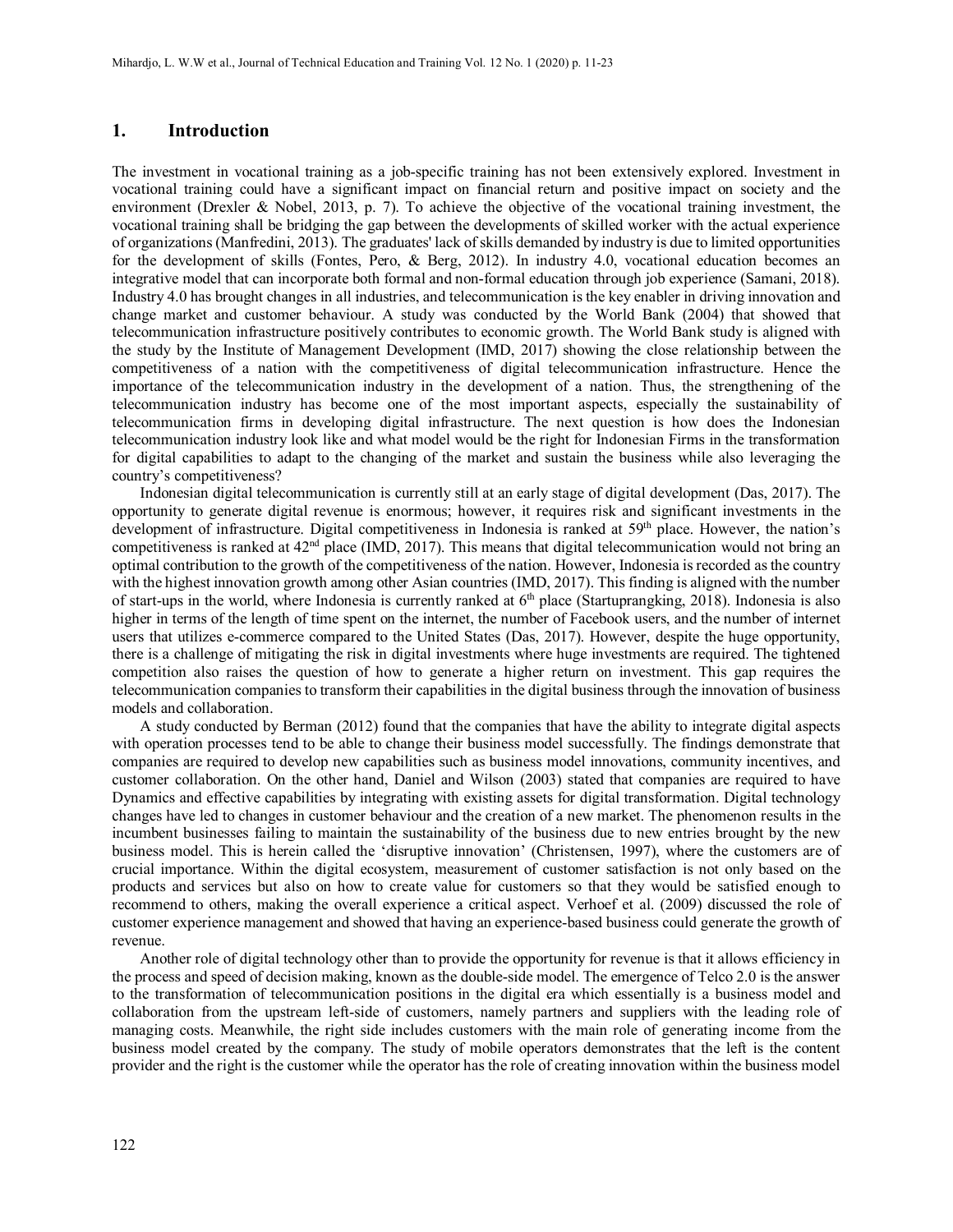#### **1. Introduction**

The investment in vocational training as a job-specific training has not been extensively explored. Investment in vocational training could have a significant impact on financial return and positive impact on society and the environment (Drexler & Nobel, 2013, p. 7). To achieve the objective of the vocational training investment, the vocational training shall be bridging the gap between the developments of skilled worker with the actual experience of organizations (Manfredini, 2013). The graduates' lack of skills demanded by industry is due to limited opportunities for the development of skills (Fontes, Pero, & Berg, 2012). In industry 4.0, vocational education becomes an integrative model that can incorporate both formal and non-formal education through job experience (Samani, 2018). Industry 4.0 has brought changes in all industries, and telecommunication is the key enabler in driving innovation and change market and customer behaviour. A study was conducted by the World Bank (2004) that showed that telecommunication infrastructure positively contributes to economic growth. The World Bank study is aligned with the study by the Institute of Management Development (IMD, 2017) showing the close relationship between the competitiveness of a nation with the competitiveness of digital telecommunication infrastructure. Hence the importance of the telecommunication industry in the development of a nation. Thus, the strengthening of the telecommunication industry has become one of the most important aspects, especially the sustainability of telecommunication firms in developing digital infrastructure. The next question is how does the Indonesian telecommunication industry look like and what model would be the right for Indonesian Firms in the transformation for digital capabilities to adapt to the changing of the market and sustain the business while also leveraging the country's competitiveness?

Indonesian digital telecommunication is currently still at an early stage of digital development (Das, 2017). The opportunity to generate digital revenue is enormous; however, it requires risk and significant investments in the development of infrastructure. Digital competitiveness in Indonesia is ranked at 59<sup>th</sup> place. However, the nation's competitiveness is ranked at 42<sup>nd</sup> place (IMD, 2017). This means that digital telecommunication would not bring an optimal contribution to the growth of the competitiveness of the nation. However, Indonesia is recorded as the country with the highest innovation growth among other Asian countries (IMD, 2017). This finding is aligned with the number of start-ups in the world, where Indonesia is currently ranked at  $6<sup>th</sup>$  place (Startuprangking, 2018). Indonesia is also higher in terms of the length of time spent on the internet, the number of Facebook users, and the number of internet users that utilizes e-commerce compared to the United States (Das, 2017). However, despite the huge opportunity, there is a challenge of mitigating the risk in digital investments where huge investments are required. The tightened competition also raises the question of how to generate a higher return on investment. This gap requires the telecommunication companies to transform their capabilities in the digital business through the innovation of business models and collaboration.

A study conducted by Berman (2012) found that the companies that have the ability to integrate digital aspects with operation processes tend to be able to change their business model successfully. The findings demonstrate that companies are required to develop new capabilities such as business model innovations, community incentives, and customer collaboration. On the other hand, Daniel and Wilson (2003) stated that companies are required to have Dynamics and effective capabilities by integrating with existing assets for digital transformation. Digital technology changes have led to changes in customer behaviour and the creation of a new market. The phenomenon results in the incumbent businesses failing to maintain the sustainability of the business due to new entries brought by the new business model. This is herein called the 'disruptive innovation' (Christensen, 1997), where the customers are of crucial importance. Within the digital ecosystem, measurement of customer satisfaction is not only based on the products and services but also on how to create value for customers so that they would be satisfied enough to recommend to others, making the overall experience a critical aspect. Verhoef et al. (2009) discussed the role of customer experience management and showed that having an experience-based business could generate the growth of revenue.

Another role of digital technology other than to provide the opportunity for revenue is that it allows efficiency in the process and speed of decision making, known as the double-side model. The emergence of Telco 2.0 is the answer to the transformation of telecommunication positions in the digital era which essentially is a business model and collaboration from the upstream left-side of customers, namely partners and suppliers with the leading role of managing costs. Meanwhile, the right side includes customers with the main role of generating income from the business model created by the company. The study of mobile operators demonstrates that the left is the content provider and the right is the customer while the operator has the role of creating innovation within the business model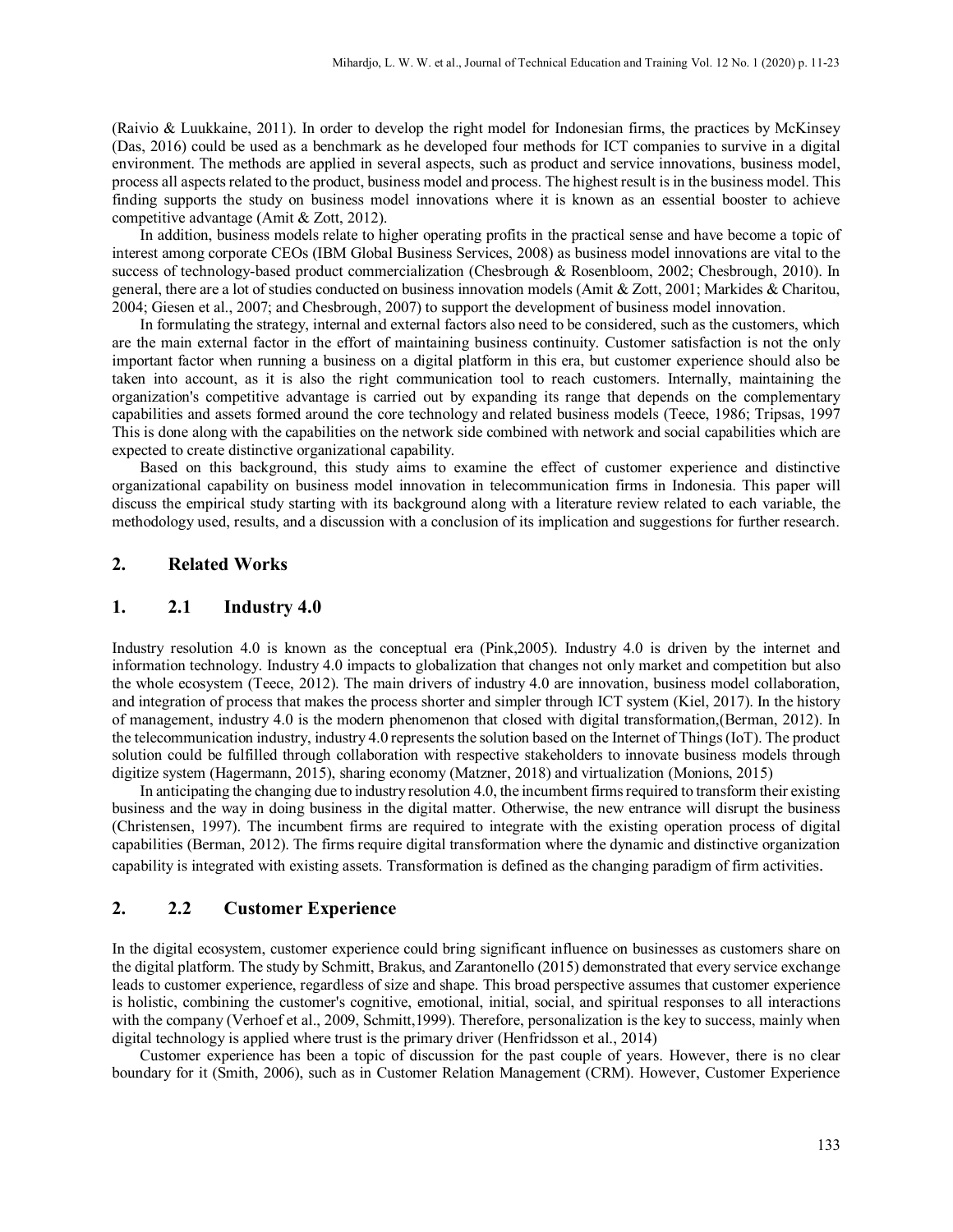(Raivio & Luukkaine, 2011). In order to develop the right model for Indonesian firms, the practices by McKinsey (Das, 2016) could be used as a benchmark as he developed four methods for ICT companies to survive in a digital environment. The methods are applied in several aspects, such as product and service innovations, business model, process all aspects related to the product, business model and process. The highest result is in the business model. This finding supports the study on business model innovations where it is known as an essential booster to achieve competitive advantage (Amit & Zott, 2012).

In addition, business models relate to higher operating profits in the practical sense and have become a topic of interest among corporate CEOs (IBM Global Business Services, 2008) as business model innovations are vital to the success of technology-based product commercialization (Chesbrough & Rosenbloom, 2002; Chesbrough, 2010). In general, there are a lot of studies conducted on business innovation models (Amit & Zott, 2001; Markides & Charitou, 2004; Giesen et al., 2007; and Chesbrough, 2007) to support the development of business model innovation.

In formulating the strategy, internal and external factors also need to be considered, such as the customers, which are the main external factor in the effort of maintaining business continuity. Customer satisfaction is not the only important factor when running a business on a digital platform in this era, but customer experience should also be taken into account, as it is also the right communication tool to reach customers. Internally, maintaining the organization's competitive advantage is carried out by expanding its range that depends on the complementary capabilities and assets formed around the core technology and related business models (Teece, 1986; Tripsas, 1997 This is done along with the capabilities on the network side combined with network and social capabilities which are expected to create distinctive organizational capability.

Based on this background, this study aims to examine the effect of customer experience and distinctive organizational capability on business model innovation in telecommunication firms in Indonesia. This paper will discuss the empirical study starting with its background along with a literature review related to each variable, the methodology used, results, and a discussion with a conclusion of its implication and suggestions for further research.

# **2. Related Works**

# **1. 2.1 Industry 4.0**

Industry resolution 4.0 is known as the conceptual era (Pink,2005). Industry 4.0 is driven by the internet and information technology. Industry 4.0 impacts to globalization that changes not only market and competition but also the whole ecosystem (Teece, 2012). The main drivers of industry 4.0 are innovation, business model collaboration, and integration of process that makes the process shorter and simpler through ICT system (Kiel, 2017). In the history of management, industry 4.0 is the modern phenomenon that closed with digital transformation,(Berman, 2012). In the telecommunication industry, industry 4.0 represents the solution based on the Internet of Things (IoT). The product solution could be fulfilled through collaboration with respective stakeholders to innovate business models through digitize system (Hagermann, 2015), sharing economy (Matzner, 2018) and virtualization (Monions, 2015)

In anticipating the changing due to industry resolution 4.0, the incumbent firms required to transform their existing business and the way in doing business in the digital matter. Otherwise, the new entrance will disrupt the business (Christensen, 1997). The incumbent firms are required to integrate with the existing operation process of digital capabilities (Berman, 2012). The firms require digital transformation where the dynamic and distinctive organization capability is integrated with existing assets. Transformation is defined as the changing paradigm of firm activities.

# **2. 2.2 Customer Experience**

In the digital ecosystem, customer experience could bring significant influence on businesses as customers share on the digital platform. The study by Schmitt, Brakus, and Zarantonello (2015) demonstrated that every service exchange leads to customer experience, regardless of size and shape. This broad perspective assumes that customer experience is holistic, combining the customer's cognitive, emotional, initial, social, and spiritual responses to all interactions with the company (Verhoef et al., 2009, Schmitt, 1999). Therefore, personalization is the key to success, mainly when digital technology is applied where trust is the primary driver (Henfridsson et al., 2014)

Customer experience has been a topic of discussion for the past couple of years. However, there is no clear boundary for it (Smith, 2006), such as in Customer Relation Management (CRM). However, Customer Experience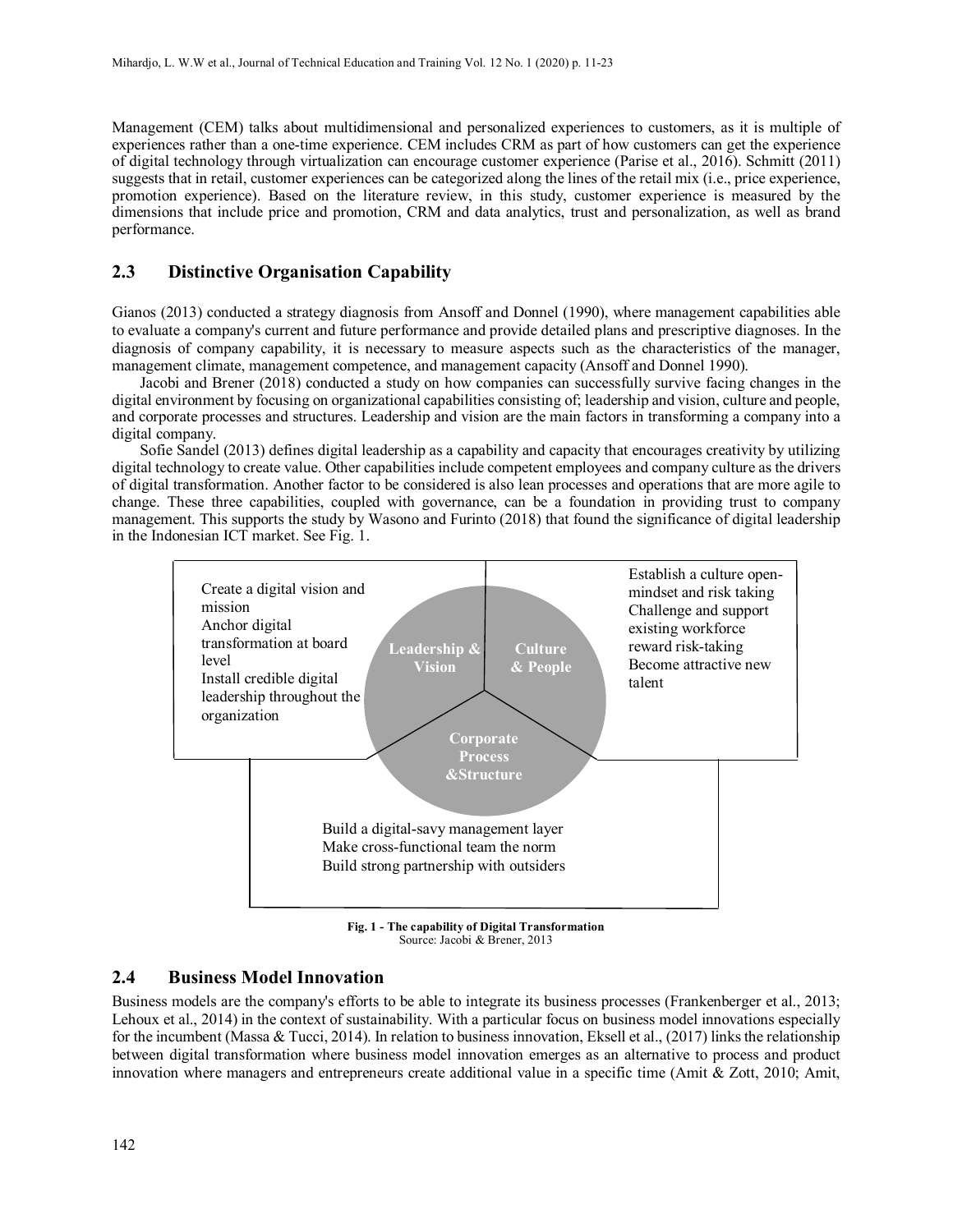Management (CEM) talks about multidimensional and personalized experiences to customers, as it is multiple of experiences rather than a one-time experience. CEM includes CRM as part of how customers can get the experience of digital technology through virtualization can encourage customer experience (Parise et al., 2016). Schmitt (2011) suggests that in retail, customer experiences can be categorized along the lines of the retail mix (i.e., price experience, promotion experience). Based on the literature review, in this study, customer experience is measured by the dimensions that include price and promotion, CRM and data analytics, trust and personalization, as well as brand performance.

# **2.3 Distinctive Organisation Capability**

Gianos (2013) conducted a strategy diagnosis from Ansoff and Donnel (1990), where management capabilities able to evaluate a company's current and future performance and provide detailed plans and prescriptive diagnoses. In the diagnosis of company capability, it is necessary to measure aspects such as the characteristics of the manager, management climate, management competence, and management capacity (Ansoff and Donnel 1990).

Jacobi and Brener (2018) conducted a study on how companies can successfully survive facing changes in the digital environment by focusing on organizational capabilities consisting of; leadership and vision, culture and people, and corporate processes and structures. Leadership and vision are the main factors in transforming a company into a digital company.

Sofie Sandel (2013) defines digital leadership as a capability and capacity that encourages creativity by utilizing digital technology to create value. Other capabilities include competent employees and company culture as the drivers of digital transformation. Another factor to be considered is also lean processes and operations that are more agile to change. These three capabilities, coupled with governance, can be a foundation in providing trust to company management. This supports the study by Wasono and Furinto (2018) that found the significance of digital leadership in the Indonesian ICT market. See Fig. 1.



**Fig. 1 - The capability of Digital Transformation** Source: Jacobi & Brener, 2013

# **2.4 Business Model Innovation**

Business models are the company's efforts to be able to integrate its business processes (Frankenberger et al., 2013; Lehoux et al., 2014) in the context of sustainability. With a particular focus on business model innovations especially for the incumbent (Massa & Tucci, 2014). In relation to business innovation, Eksell et al., (2017) links the relationship between digital transformation where business model innovation emerges as an alternative to process and product innovation where managers and entrepreneurs create additional value in a specific time (Amit & Zott, 2010; Amit,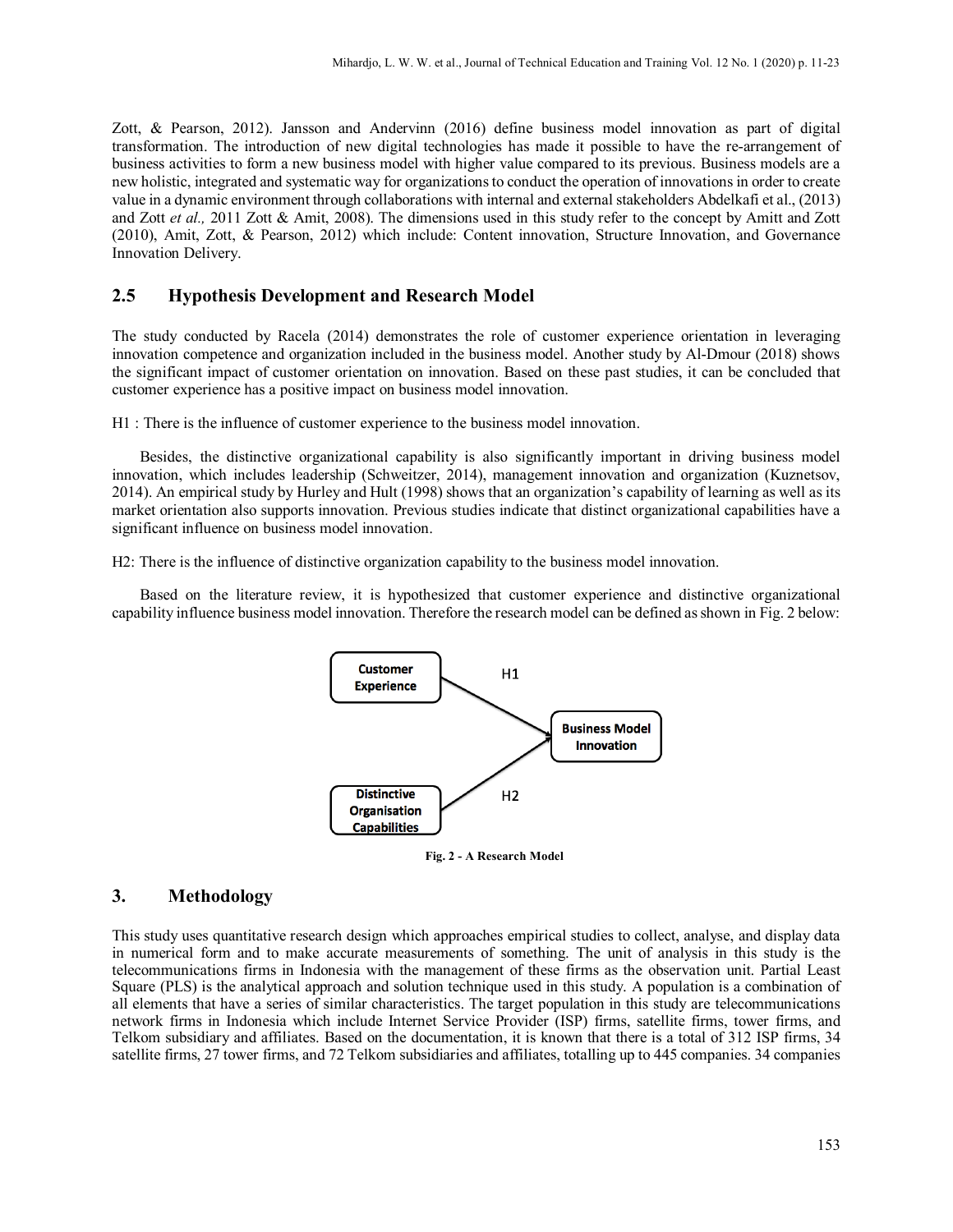Zott, & Pearson, 2012). Jansson and Andervinn (2016) define business model innovation as part of digital transformation. The introduction of new digital technologies has made it possible to have the re-arrangement of business activities to form a new business model with higher value compared to its previous. Business models are a new holistic, integrated and systematic way for organizations to conduct the operation of innovations in order to create value in a dynamic environment through collaborations with internal and external stakeholders Abdelkafi et al., (2013) and Zott *et al.,* 2011 Zott & Amit, 2008). The dimensions used in this study refer to the concept by Amitt and Zott (2010), Amit, Zott, & Pearson, 2012) which include: Content innovation, Structure Innovation, and Governance Innovation Delivery.

# **2.5 Hypothesis Development and Research Model**

The study conducted by Racela (2014) demonstrates the role of customer experience orientation in leveraging innovation competence and organization included in the business model. Another study by Al-Dmour (2018) shows the significant impact of customer orientation on innovation. Based on these past studies, it can be concluded that customer experience has a positive impact on business model innovation.

H1 : There is the influence of customer experience to the business model innovation.

Besides, the distinctive organizational capability is also significantly important in driving business model innovation, which includes leadership (Schweitzer, 2014), management innovation and organization (Kuznetsov, 2014). An empirical study by Hurley and Hult (1998) shows that an organization's capability of learning as well as its market orientation also supports innovation. Previous studies indicate that distinct organizational capabilities have a significant influence on business model innovation.

H2: There is the influence of distinctive organization capability to the business model innovation.

Based on the literature review, it is hypothesized that customer experience and distinctive organizational capability influence business model innovation. Therefore the research model can be defined as shown in Fig. 2 below:



**Fig. 2 - A Research Model**

#### **3. Methodology**

This study uses quantitative research design which approaches empirical studies to collect, analyse, and display data in numerical form and to make accurate measurements of something. The unit of analysis in this study is the telecommunications firms in Indonesia with the management of these firms as the observation unit. Partial Least Square (PLS) is the analytical approach and solution technique used in this study. A population is a combination of all elements that have a series of similar characteristics. The target population in this study are telecommunications network firms in Indonesia which include Internet Service Provider (ISP) firms, satellite firms, tower firms, and Telkom subsidiary and affiliates. Based on the documentation, it is known that there is a total of 312 ISP firms, 34 satellite firms, 27 tower firms, and 72 Telkom subsidiaries and affiliates, totalling up to 445 companies. 34 companies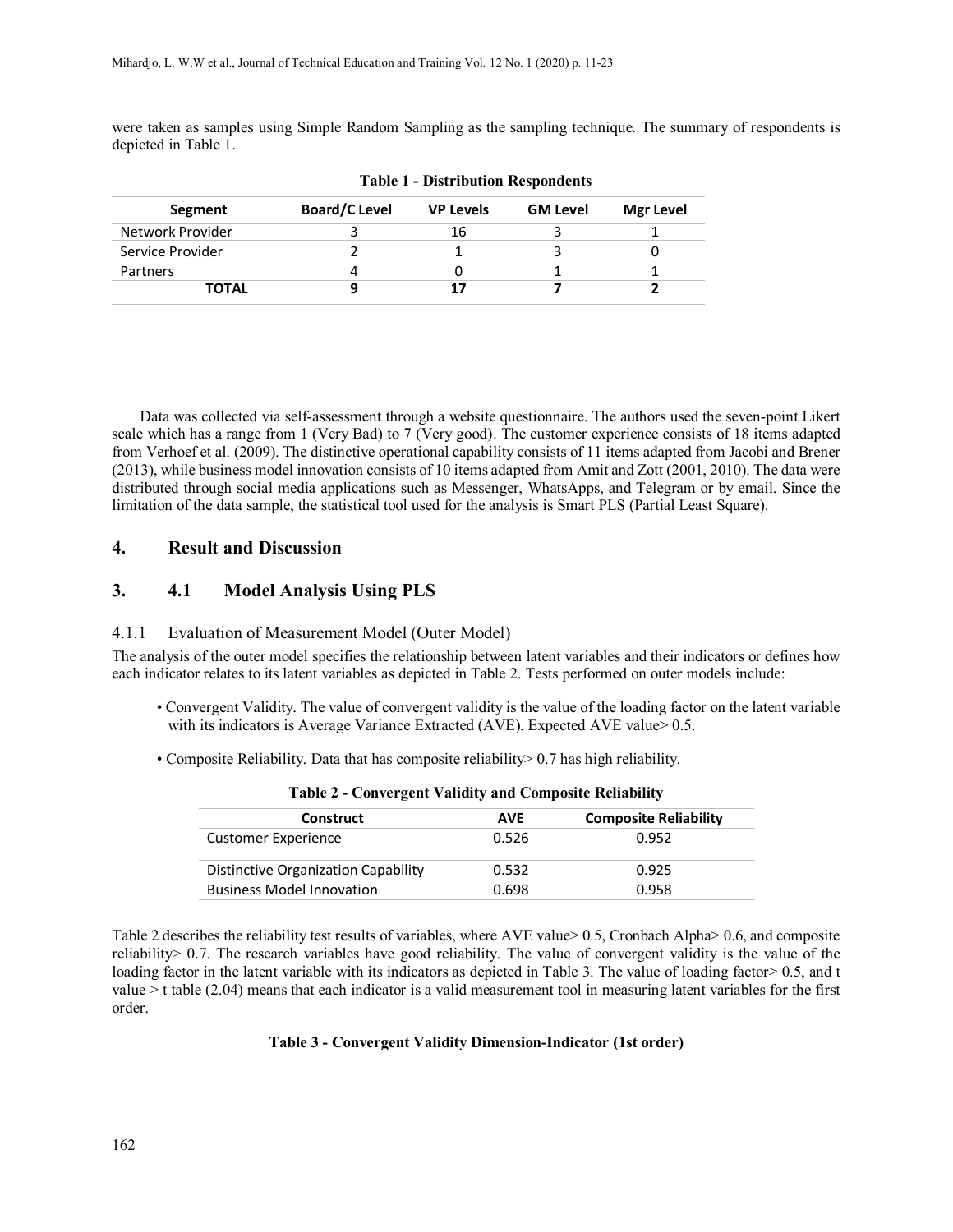were taken as samples using Simple Random Sampling as the sampling technique. The summary of respondents is depicted in Table 1.

| Segment          | <b>Board/C Level</b> | <b>VP Levels</b> | <b>GM Level</b> | Mgr Level |
|------------------|----------------------|------------------|-----------------|-----------|
| Network Provider |                      | 16               |                 |           |
| Service Provider |                      |                  |                 |           |
| Partners         |                      |                  |                 |           |
| <b>TOTAL</b>     |                      | 17               |                 |           |

**Table 1 - Distribution Respondents**

Data was collected via self-assessment through a website questionnaire. The authors used the seven-point Likert scale which has a range from 1 (Very Bad) to 7 (Very good). The customer experience consists of 18 items adapted from Verhoef et al. (2009). The distinctive operational capability consists of 11 items adapted from Jacobi and Brener (2013), while business model innovation consists of 10 items adapted from Amit and Zott (2001, 2010). The data were distributed through social media applications such as Messenger, WhatsApps, and Telegram or by email. Since the limitation of the data sample, the statistical tool used for the analysis is Smart PLS (Partial Least Square).

#### **4. Result and Discussion**

# **3. 4.1 Model Analysis Using PLS**

#### 4.1.1 Evaluation of Measurement Model (Outer Model)

The analysis of the outer model specifies the relationship between latent variables and their indicators or defines how each indicator relates to its latent variables as depicted in Table 2. Tests performed on outer models include:

- Convergent Validity. The value of convergent validity is the value of the loading factor on the latent variable with its indicators is Average Variance Extracted (AVE). Expected AVE value > 0.5.
- Composite Reliability. Data that has composite reliability > 0.7 has high reliability.

| <b>Construct</b>                    | <b>AVE</b> | <b>Composite Reliability</b> |  |
|-------------------------------------|------------|------------------------------|--|
| <b>Customer Experience</b>          | 0.526      | 0.952                        |  |
| Distinctive Organization Capability | 0.532      | 0.925                        |  |
| <b>Business Model Innovation</b>    | 0.698      | 0.958                        |  |

Table 2 describes the reliability test results of variables, where AVE value> 0.5, Cronbach Alpha> 0.6, and composite reliability > 0.7. The research variables have good reliability. The value of convergent validity is the value of the loading factor in the latent variable with its indicators as depicted in Table 3. The value of loading factor > 0.5, and t value > t table (2.04) means that each indicator is a valid measurement tool in measuring latent variables for the first order.

#### **Table 3 - Convergent Validity Dimension-Indicator (1st order)**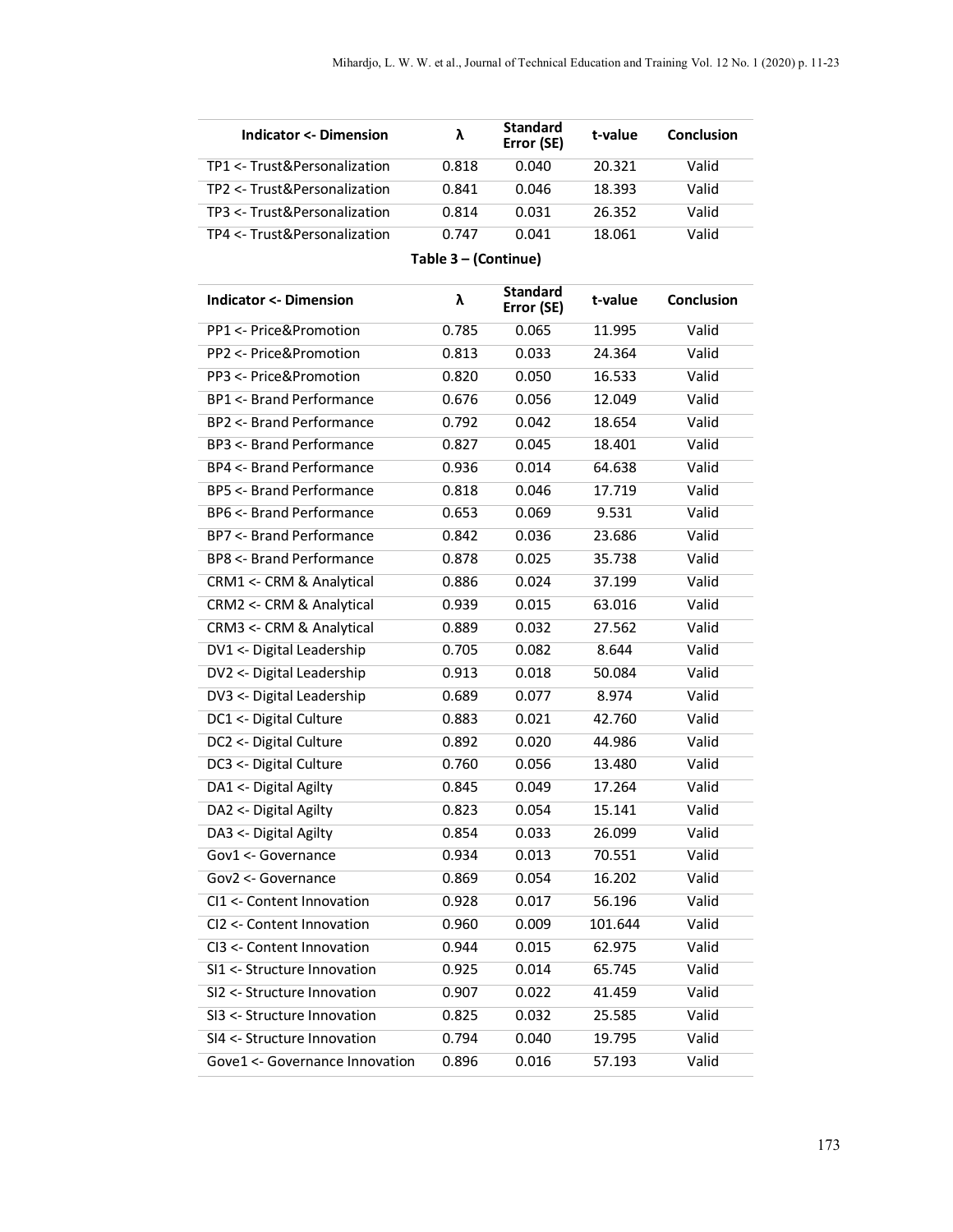| Indicator <- Dimension       |       | <b>Standard</b><br>Error (SE) | t-value | Conclusion |
|------------------------------|-------|-------------------------------|---------|------------|
| TP1 <- Trust&Personalization | 0.818 | 0.040                         | 20.321  | Valid      |
| TP2 <- Trust&Personalization | 0.841 | 0.046                         | 18.393  | Valid      |
| TP3 <- Trust&Personalization | 0.814 | 0.031                         | 26.352  | Valid      |
| TP4 <- Trust&Personalization | በ 747 | 0.041                         | 18.061  | Valid      |

**Table 3 – (Continue)**

| <b>Indicator &lt;- Dimension</b>   | λ     | <b>Standard</b><br>Error (SE) | t-value | <b>Conclusion</b> |
|------------------------------------|-------|-------------------------------|---------|-------------------|
| PP1 <- Price&Promotion             | 0.785 | 0.065                         | 11.995  | Valid             |
| PP2 <- Price&Promotion             | 0.813 | 0.033                         | 24.364  | Valid             |
| PP3 <- Price&Promotion             | 0.820 | 0.050                         | 16.533  | Valid             |
| <b>BP1 &lt;- Brand Performance</b> | 0.676 | 0.056                         | 12.049  | Valid             |
| <b>BP2 &lt;- Brand Performance</b> | 0.792 | 0.042                         | 18.654  | Valid             |
| BP3 <- Brand Performance           | 0.827 | 0.045                         | 18.401  | Valid             |
| <b>BP4 &lt;- Brand Performance</b> | 0.936 | 0.014                         | 64.638  | Valid             |
| <b>BP5 &lt;- Brand Performance</b> | 0.818 | 0.046                         | 17.719  | Valid             |
| <b>BP6 &lt;- Brand Performance</b> | 0.653 | 0.069                         | 9.531   | Valid             |
| <b>BP7 &lt;- Brand Performance</b> | 0.842 | 0.036                         | 23.686  | Valid             |
| <b>BP8 &lt;- Brand Performance</b> | 0.878 | 0.025                         | 35.738  | Valid             |
| CRM1 <- CRM & Analytical           | 0.886 | 0.024                         | 37.199  | Valid             |
| CRM2 <- CRM & Analytical           | 0.939 | 0.015                         | 63.016  | Valid             |
| CRM3 <- CRM & Analytical           | 0.889 | 0.032                         | 27.562  | Valid             |
| DV1 <- Digital Leadership          | 0.705 | 0.082                         | 8.644   | Valid             |
| DV2 <- Digital Leadership          | 0.913 | 0.018                         | 50.084  | Valid             |
| DV3 <- Digital Leadership          | 0.689 | 0.077                         | 8.974   | Valid             |
| DC1 <- Digital Culture             | 0.883 | 0.021                         | 42.760  | Valid             |
| DC2 <- Digital Culture             | 0.892 | 0.020                         | 44.986  | Valid             |
| DC3 <- Digital Culture             | 0.760 | 0.056                         | 13.480  | Valid             |
| DA1 <- Digital Agilty              | 0.845 | 0.049                         | 17.264  | Valid             |
| DA2 <- Digital Agilty              | 0.823 | 0.054                         | 15.141  | Valid             |
| DA3 <- Digital Agilty              | 0.854 | 0.033                         | 26.099  | Valid             |
| Gov1 <- Governance                 | 0.934 | 0.013                         | 70.551  | Valid             |
| Gov2 <- Governance                 | 0.869 | 0.054                         | 16.202  | Valid             |
| CI1 <- Content Innovation          | 0.928 | 0.017                         | 56.196  | Valid             |
| CI2 <- Content Innovation          | 0.960 | 0.009                         | 101.644 | Valid             |
| CI3 <- Content Innovation          | 0.944 | 0.015                         | 62.975  | Valid             |
| SI1 <- Structure Innovation        | 0.925 | 0.014                         | 65.745  | Valid             |
| SI2 <- Structure Innovation        | 0.907 | 0.022                         | 41.459  | Valid             |
| SI3 <- Structure Innovation        | 0.825 | 0.032                         | 25.585  | Valid             |
| SI4 <- Structure Innovation        | 0.794 | 0.040                         | 19.795  | Valid             |
| Gove1 <- Governance Innovation     | 0.896 | 0.016                         | 57.193  | Valid             |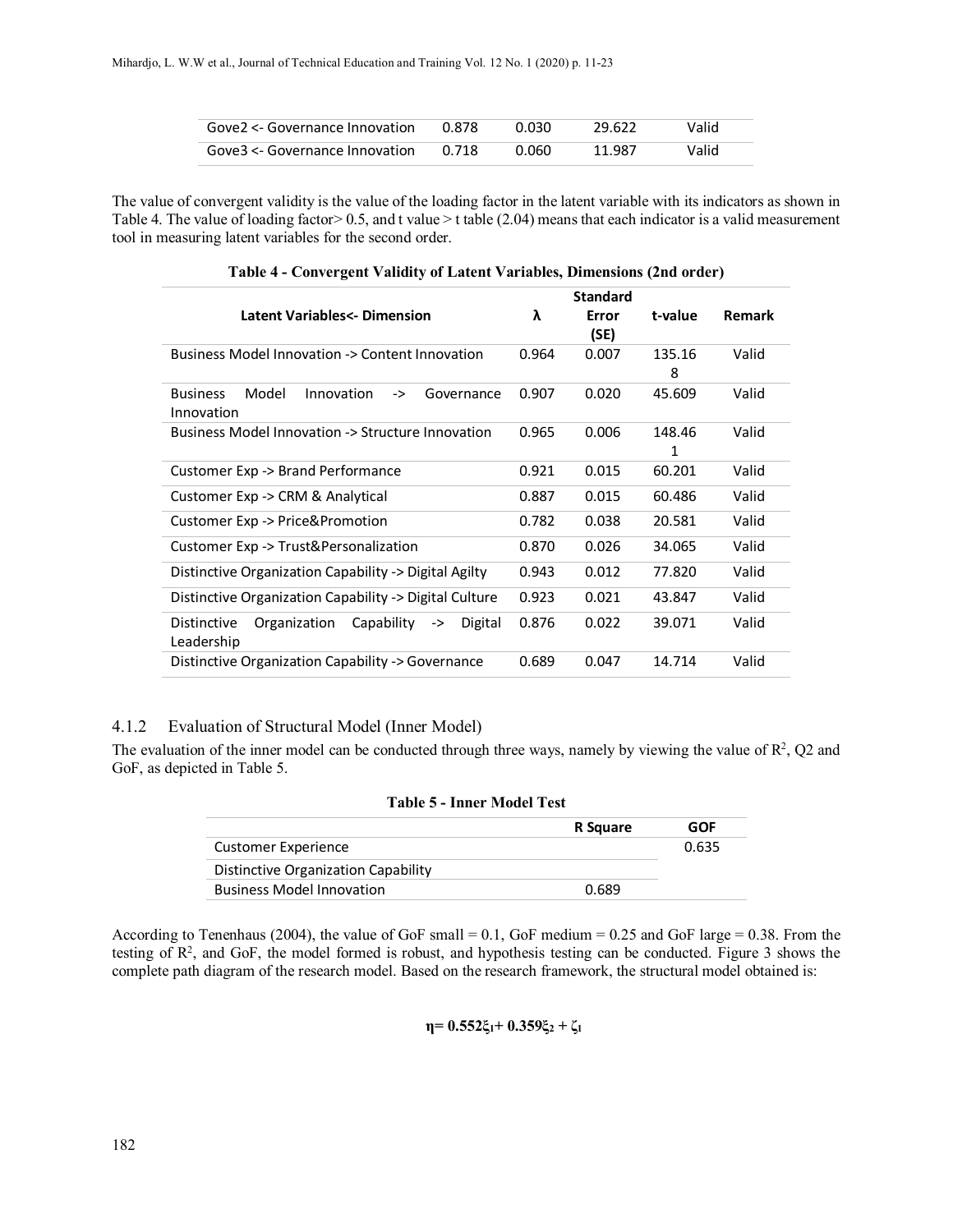| Gove2 <- Governance Innovation | 0.878 | 0.030 | 29.622 | Valid |
|--------------------------------|-------|-------|--------|-------|
| Gove3 <- Governance Innovation | በ 718 | 0.060 | 11.987 | Valid |

The value of convergent validity is the value of the loading factor in the latent variable with its indicators as shown in Table 4. The value of loading factor  $> 0.5$ , and t value  $>$  t table (2.04) means that each indicator is a valid measurement tool in measuring latent variables for the second order.

|                                                                          |       | <b>Standard</b> |         |               |
|--------------------------------------------------------------------------|-------|-----------------|---------|---------------|
| Latent Variables<- Dimension                                             | λ     | Error           | t-value | <b>Remark</b> |
|                                                                          |       | (SE)            |         |               |
| Business Model Innovation -> Content Innovation                          | 0.964 | 0.007           | 135.16  | Valid         |
|                                                                          |       |                 | 8       |               |
| Model<br>Innovation<br><b>Business</b><br>Governance<br>->               | 0.907 | 0.020           | 45.609  | Valid         |
| Innovation                                                               |       |                 |         |               |
| Business Model Innovation -> Structure Innovation                        | 0.965 | 0.006           | 148.46  | Valid         |
|                                                                          |       |                 | 1       |               |
| Customer Exp -> Brand Performance                                        | 0.921 | 0.015           | 60.201  | Valid         |
| Customer Exp -> CRM & Analytical                                         | 0.887 | 0.015           | 60.486  | Valid         |
| Customer Exp -> Price&Promotion                                          | 0.782 | 0.038           | 20.581  | Valid         |
| Customer Exp -> Trust&Personalization                                    | 0.870 | 0.026           | 34.065  | Valid         |
| Distinctive Organization Capability -> Digital Agilty                    | 0.943 | 0.012           | 77.820  | Valid         |
| Distinctive Organization Capability -> Digital Culture                   | 0.923 | 0.021           | 43.847  | Valid         |
| Distinctive<br>Organization<br>Capability<br>Digital<br>-><br>Leadership | 0.876 | 0.022           | 39.071  | Valid         |
| Distinctive Organization Capability -> Governance                        | 0.689 | 0.047           | 14.714  | Valid         |

**Table 4 - Convergent Validity of Latent Variables, Dimensions (2nd order)**

# 4.1.2 Evaluation of Structural Model (Inner Model)

The evaluation of the inner model can be conducted through three ways, namely by viewing the value of  $\mathbb{R}^2$ , Q2 and GoF, as depicted in Table 5.

| <b>Table 5 - Inner Model Test</b>   |          |       |
|-------------------------------------|----------|-------|
|                                     | R Square | GOF   |
| <b>Customer Experience</b>          |          | 0.635 |
| Distinctive Organization Capability |          |       |
| <b>Business Model Innovation</b>    | 0.689    |       |

According to Tenenhaus (2004), the value of GoF small = 0.1, GoF medium = 0.25 and GoF large = 0.38. From the testing of  $\mathbb{R}^2$ , and GoF, the model formed is robust, and hypothesis testing can be conducted. Figure 3 shows the complete path diagram of the research model. Based on the research framework, the structural model obtained is:

**η= 0.552ξ1+ 0.359ξ<sup>2</sup> + ζ<sup>1</sup>**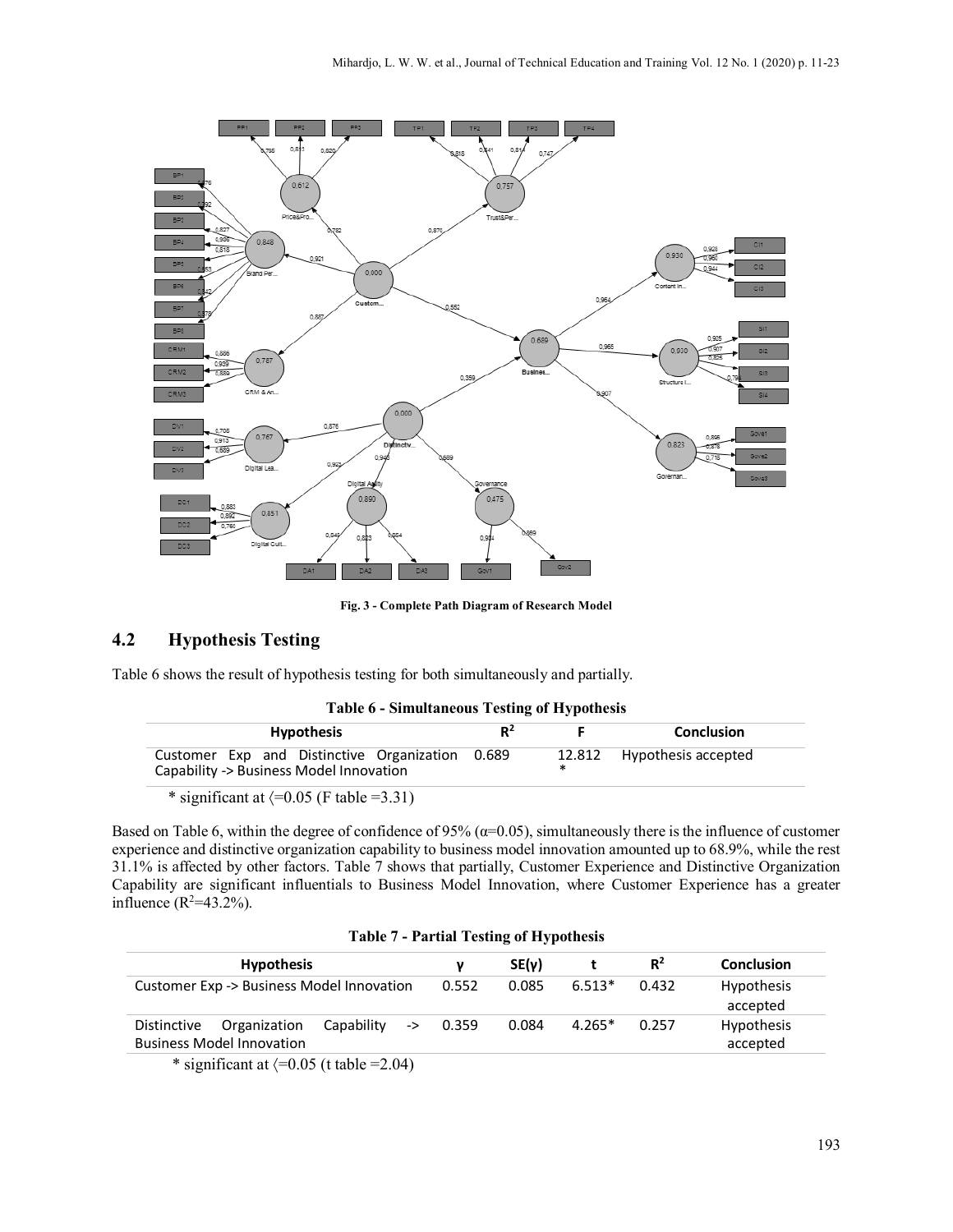

**Fig. 3 - Complete Path Diagram of Research Model**

# **4.2 Hypothesis Testing**

Table 6 shows the result of hypothesis testing for both simultaneously and partially.

|  |  |  | Table 6 - Simultaneous Testing of Hypothesis |
|--|--|--|----------------------------------------------|
|--|--|--|----------------------------------------------|

| <b>Hypothesis</b>                                                                          | $R^2$ |   | <b>Conclusion</b>          |
|--------------------------------------------------------------------------------------------|-------|---|----------------------------|
| Customer Exp and Distinctive Organization 0.689<br>Capability -> Business Model Innovation |       | ж | 12.812 Hypothesis accepted |

\* significant at  $\langle =0.05$  (F table =3.31)

Based on Table 6, within the degree of confidence of 95% ( $\alpha$ =0.05), simultaneously there is the influence of customer experience and distinctive organization capability to business model innovation amounted up to 68.9%, while the rest 31.1% is affected by other factors. Table 7 shows that partially, Customer Experience and Distinctive Organization Capability are significant influentials to Business Model Innovation, where Customer Experience has a greater influence  $(R^2=43.2\%)$ .

| <b>Hypothesis</b>                                                                              | ν     | SE(v) |          | $R^2$ | <b>Conclusion</b>             |
|------------------------------------------------------------------------------------------------|-------|-------|----------|-------|-------------------------------|
| Customer Exp -> Business Model Innovation                                                      | 0.552 | 0.085 | $6.513*$ | 0.432 | <b>Hypothesis</b><br>accepted |
| Capability<br>Organization<br>Distinctive<br>$\rightarrow$<br><b>Business Model Innovation</b> | 0.359 | 0.084 | $4.265*$ | 0.257 | <b>Hypothesis</b><br>accepted |

significant at  $\langle =0.05$  (t table =2.04)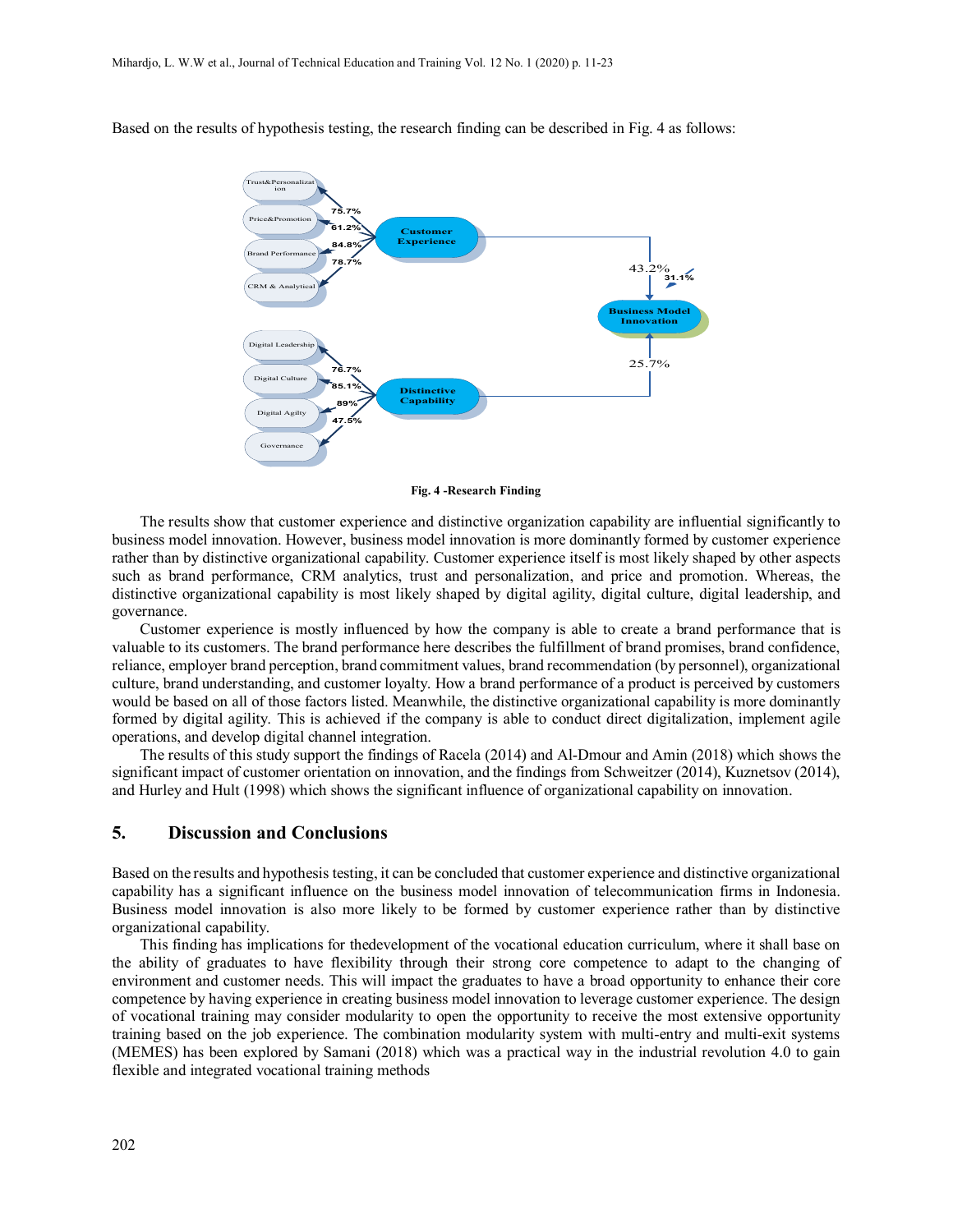

Based on the results of hypothesis testing, the research finding can be described in Fig. 4 as follows:

**Fig. 4 -Research Finding**

The results show that customer experience and distinctive organization capability are influential significantly to business model innovation. However, business model innovation is more dominantly formed by customer experience rather than by distinctive organizational capability. Customer experience itself is most likely shaped by other aspects such as brand performance, CRM analytics, trust and personalization, and price and promotion. Whereas, the distinctive organizational capability is most likely shaped by digital agility, digital culture, digital leadership, and governance.

Customer experience is mostly influenced by how the company is able to create a brand performance that is valuable to its customers. The brand performance here describes the fulfillment of brand promises, brand confidence, reliance, employer brand perception, brand commitment values, brand recommendation (by personnel), organizational culture, brand understanding, and customer loyalty. How a brand performance of a product is perceived by customers would be based on all of those factors listed. Meanwhile, the distinctive organizational capability is more dominantly formed by digital agility. This is achieved if the company is able to conduct direct digitalization, implement agile operations, and develop digital channel integration.

The results of this study support the findings of Racela (2014) and Al-Dmour and Amin (2018) which shows the significant impact of customer orientation on innovation, and the findings from Schweitzer (2014), Kuznetsov (2014), and Hurley and Hult (1998) which shows the significant influence of organizational capability on innovation.

#### **5. Discussion and Conclusions**

Based on the results and hypothesis testing, it can be concluded that customer experience and distinctive organizational capability has a significant influence on the business model innovation of telecommunication firms in Indonesia. Business model innovation is also more likely to be formed by customer experience rather than by distinctive organizational capability.

This finding has implications for thedevelopment of the vocational education curriculum, where it shall base on the ability of graduates to have flexibility through their strong core competence to adapt to the changing of environment and customer needs. This will impact the graduates to have a broad opportunity to enhance their core competence by having experience in creating business model innovation to leverage customer experience. The design of vocational training may consider modularity to open the opportunity to receive the most extensive opportunity training based on the job experience. The combination modularity system with multi-entry and multi-exit systems (MEMES) has been explored by Samani (2018) which was a practical way in the industrial revolution 4.0 to gain flexible and integrated vocational training methods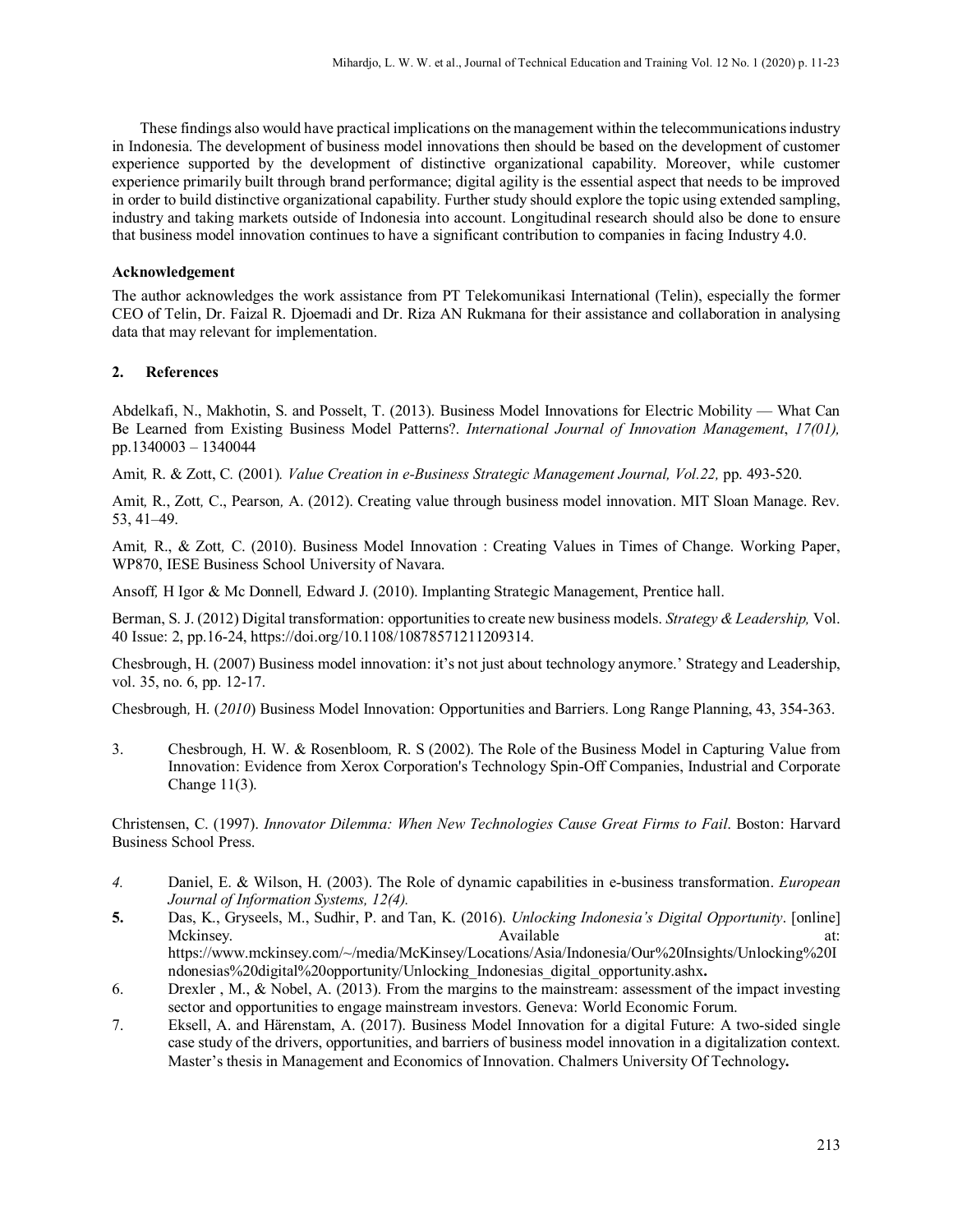These findings also would have practical implications on the management within the telecommunications industry in Indonesia. The development of business model innovations then should be based on the development of customer experience supported by the development of distinctive organizational capability. Moreover, while customer experience primarily built through brand performance; digital agility is the essential aspect that needs to be improved in order to build distinctive organizational capability. Further study should explore the topic using extended sampling, industry and taking markets outside of Indonesia into account. Longitudinal research should also be done to ensure that business model innovation continues to have a significant contribution to companies in facing Industry 4.0.

#### **Acknowledgement**

The author acknowledges the work assistance from PT Telekomunikasi International (Telin), especially the former CEO of Telin, Dr. Faizal R. Djoemadi and Dr. Riza AN Rukmana for their assistance and collaboration in analysing data that may relevant for implementation.

#### **2. References**

Abdelkafi, N., Makhotin, S. and Posselt, T. (2013). Business Model Innovations for Electric Mobility — What Can Be Learned from Existing Business Model Patterns?. *International Journal of Innovation Management*, *17(01),* pp.1340003 – 1340044

Amit*,* R. & Zott, C*.* (2001)*. Value Creation in e-Business Strategic Management Journal, Vol.22,* pp. 493-520.

Amit*,* R., Zott*,* C., Pearson*,* A. (2012). Creating value through business model innovation. MIT Sloan Manage. Rev. 53, 41–49.

Amit*,* R., & Zott*,* C. (2010). Business Model Innovation : Creating Values in Times of Change. Working Paper, WP870, IESE Business School University of Navara.

Ansoff*,* H Igor & Mc Donnell*,* Edward J. (2010). Implanting Strategic Management, Prentice hall.

[Berman,](https://www.emeraldinsight.com/author/Berman%2C+Saul+J) S. J. (2012) Digital transformation: opportunities to create new business models. *Strategy & Leadership,* Vol. 40 Issue: 2, pp.16-24, [https://doi.org/10.1108/10878571211209314.](https://doi.org/10.1108/10878571211209314)

Chesbrough, H. (2007) Business model innovation: it's not just about technology anymore.' Strategy and Leadership, vol. 35, no. 6, pp. 12-17.

Chesbrough*,* H. (*2010*) Business Model Innovation: Opportunities and Barriers. Long Range Planning, 43, 354-363.

3. Chesbrough*,* H. W. & Rosenbloom*,* R. S (2002). The Role of the Business Model in Capturing Value from Innovation: Evidence from Xerox Corporation's Technology Spin-Off Companies, [Industrial and Corporate](https://www.researchgate.net/journal/1464-3650_Industrial_and_Corporate_Change)  [Change](https://www.researchgate.net/journal/1464-3650_Industrial_and_Corporate_Change) 11(3).

Christensen, C. (1997). *Innovator Dilemma: When New Technologies Cause Great Firms to Fail*. Boston: Harvard Business School Press.

- *4.* Daniel, E. & Wilson, H. (2003). The Role of dynamic capabilities in e-business transformation. *[European](https://www.researchgate.net/journal/0960-085X_European_Journal_of_Information_Systems)  [Journal of Information Systems,](https://www.researchgate.net/journal/0960-085X_European_Journal_of_Information_Systems) 12(4).*
- **5.** Das, K., Gryseels, M., Sudhir, P. and Tan, K. (2016). *Unlocking Indonesia's Digital Opportunity*. [online] Mckinsey. **Available** at: Available at: Available at:  $\alpha$ https://www.mckinsey.com/~/media/McKinsey/Locations/Asia/Indonesia/Our%20Insights/Unlocking%20I ndonesias%20digital%20opportunity/Unlocking\_Indonesias\_digital\_opportunity.ashx**.**
- 6. Drexler , M., & Nobel, A. (2013). From the margins to the mainstream: assessment of the impact investing sector and opportunities to engage mainstream investors. Geneva: World Economic Forum.
- 7. Eksell, A. and Härenstam, A. (2017). Business Model Innovation for a digital Future: A two-sided single case study of the drivers, opportunities, and barriers of business model innovation in a digitalization context. Master's thesis in Management and Economics of Innovation. Chalmers University Of Technology**.**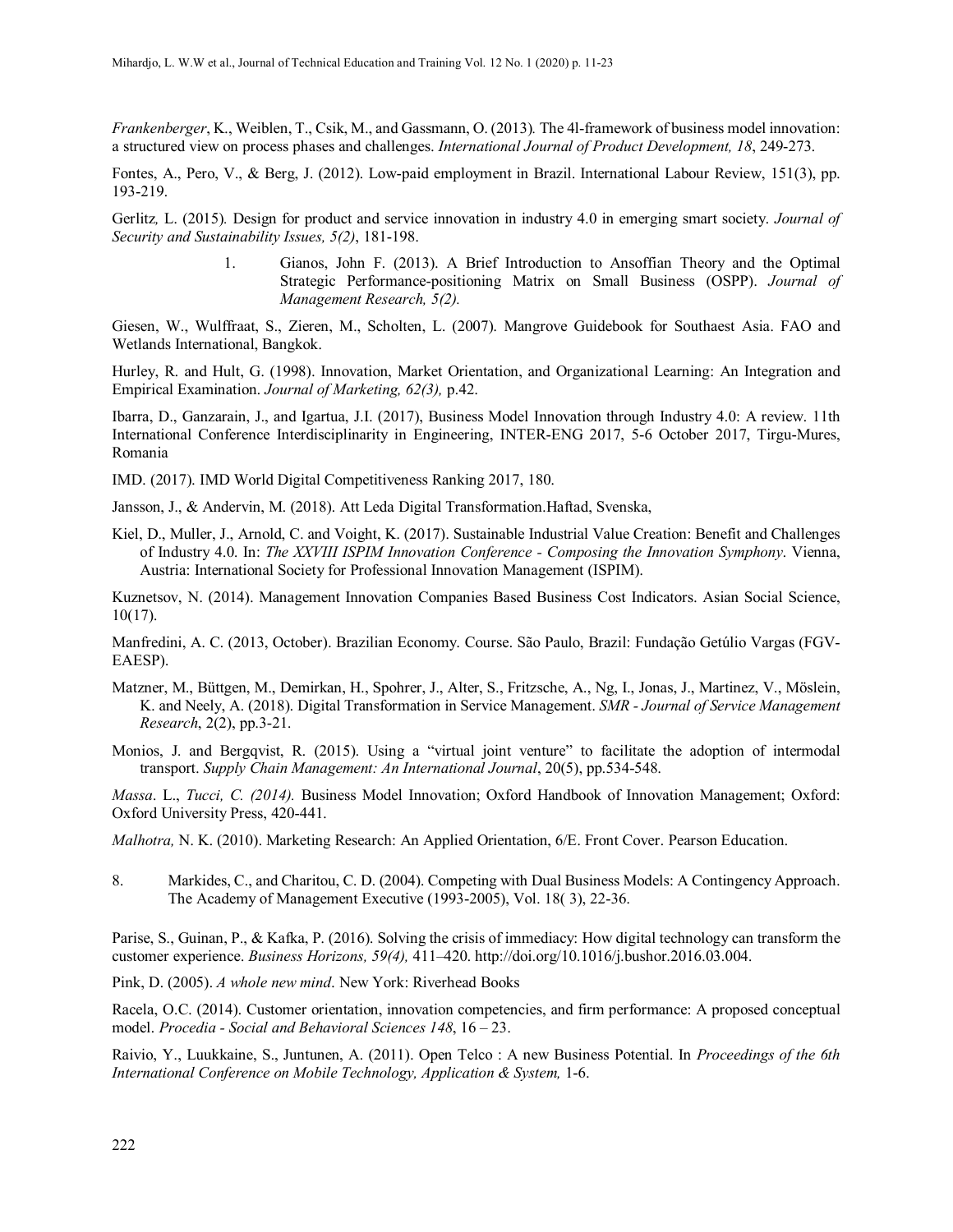*Frankenberger*, K., Weiblen, T., Csik, M., and Gassmann, O. (2013)*.* The 4l-framework of business model innovation: a structured view on process phases and challenges. *International Journal of Product Development, 18*, 249-273.

Fontes, A., Pero, V., & Berg, J. (2012). Low-paid employment in Brazil. International Labour Review, 151(3), pp. 193-219.

Gerlitz*,* L. (2015)*.* Design for product and service innovation in industry 4.0 in emerging smart society. *Journal of Security and Sustainability Issues, 5(2)*, 181-198.

> 1. Gianos, John F. (2013). A Brief Introduction to Ansoffian Theory and the Optimal Strategic Performance-positioning Matrix on Small Business (OSPP). *Journal of Management Research, 5(2).*

Giesen, W., Wulffraat, S., Zieren, M., Scholten, L. (2007). Mangrove Guidebook for Southaest Asia. FAO and Wetlands International, Bangkok.

Hurley, R. and Hult, G. (1998). Innovation, Market Orientation, and Organizational Learning: An Integration and Empirical Examination. *Journal of Marketing, 62(3),* p.42.

Ibarra, D., Ganzarain, J., and Igartua, J.I. (2017), Business Model Innovation through Industry 4.0: A review. 11th International Conference Interdisciplinarity in Engineering, INTER-ENG 2017, 5-6 October 2017, Tirgu-Mures, Romania

IMD. (2017). IMD World Digital Competitiveness Ranking 2017, 180.

Jansson, J., & Andervin, M. (2018). Att Leda Digital Transformation.Haftad, Svenska,

Kiel, D., Muller, J., Arnold, C. and Voight, K. (2017). Sustainable Industrial Value Creation: Benefit and Challenges of Industry 4.0. In: *The XXVIII ISPIM Innovation Conference - Composing the Innovation Symphony*. Vienna, Austria: International Society for Professional Innovation Management (ISPIM).

Kuznetsov, N. (2014). Management Innovation Companies Based Business Cost Indicators. Asian Social Science, 10(17).

Manfredini, A. C. (2013, October). Brazilian Economy. Course. São Paulo, Brazil: Fundação Getúlio Vargas (FGV-EAESP).

Matzner, M., Büttgen, M., Demirkan, H., Spohrer, J., Alter, S., Fritzsche, A., Ng, I., Jonas, J., Martinez, V., Möslein, K. and Neely, A. (2018). Digital Transformation in Service Management. *SMR - Journal of Service Management Research*, 2(2), pp.3-21.

Monios, J. and Bergqvist, R. (2015). Using a "virtual joint venture" to facilitate the adoption of intermodal transport. *Supply Chain Management: An International Journal*, 20(5), pp.534-548.

*Massa*. L., *Tucci, C. (2014).* Business Model Innovation; Oxford Handbook of Innovation Management; Oxford: Oxford University Press, 420-441.

*Malhotra,* N. K. (2010). Marketing Research: An Applied Orientation, 6/E. Front Cover. Pearson Education.

8. Markides, C., and Charitou, C. D. (2004). Competing with Dual Business Models: A Contingency Approach. The Academy of Management Executive (1993-2005), Vol. 18( 3), 22-36.

Parise, S., Guinan, P., & Kafka, P. (2016). Solving the crisis of immediacy: How digital technology can transform the customer experience. *Business Horizons, 59(4),* 411–420. [http://doi.org/10.1016/j.bushor.2016.03.004.](http://doi.org/10.1016/j.bushor.2016.03.004)

Pink, D. (2005). *A whole new mind*. New York: Riverhead Books

Racela, O.C. (2014). Customer orientation, innovation competencies, and firm performance: A proposed conceptual model. *Procedia - Social and Behavioral Sciences 148*, 16 – 23.

Raivio, Y., Luukkaine, S., Juntunen, A. (2011). Open Telco : A new Business Potential. In *Proceedings of the 6th International Conference on Mobile Technology, Application & System, 1-6.*